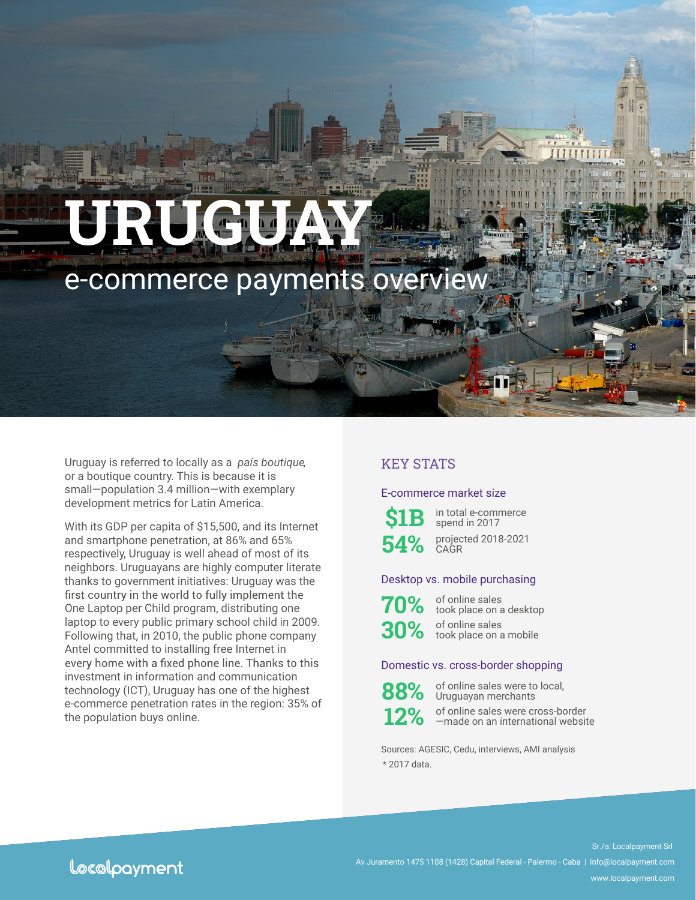# **URUGU**

# e-commerce payments overvie

Uruguay is referred to locally as a *país boutique*, or a boutique country. This is because it is small—population 3.4 million—with exemplary development metrics for Latin America.

With its GDP per capita of \$15,500, and its Internet and smartphone penetration, at 86% and 65% respectively, Uruguay is well ahead of most of its neighbors. Uruguayans are highly computer literate thanks to government initiatives: Uruguay was the first country in the world to fully implement the One Laptop per Child program, distributing one laptop to every public primary school child in 2009. Following that, in 2010, the public phone company Antel committed to installing free Internet in every home with a fixed phone line. Thanks to this investment in information and communication technology (ICT), Uruguay has one of the highest e-commerce penetration rates in the region: 35% of the population buys online.

### KEY STATS

#### E-commerce market size



in total e-commerce spend in 2017 projected 2018-2021 **CAGR** 

#### Desktop vs. mobile purchasing



**70%** of online sales **30%** of online sales took place on a desktop took place on a mobile

#### Domestic vs. cross-border shopping



of online sales were to local, Uruguayan merchants

**12%**

of online sales were cross-border —made on an international website

Sources: AGESIC, Cedu, interviews, AMI analysis \* 2017 data.

Locolpayment

info@dlocal.com | 981 Mission st., San Francisco, CA, USA 94103 | www.dlocal.com Av Juramento 1475 1108 (1428) Capital Federal - Palermo - Caba | info@localpayment.com Sr./a: Localpayment Srl www.localpayment.com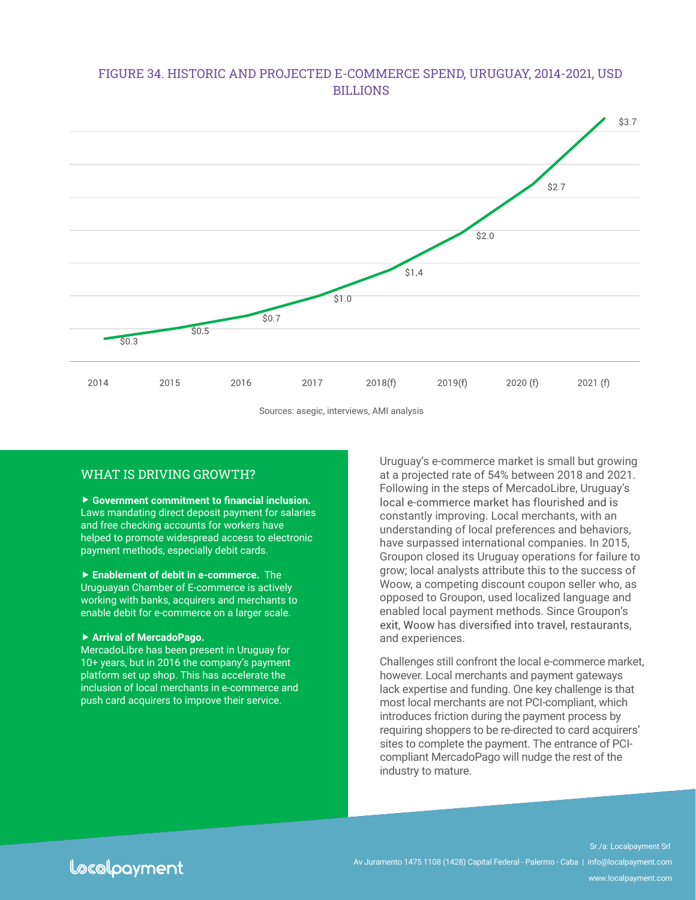#### FIGURE 34. HISTORIC AND PROJECTED E-COMMERCE SPEND, URUGUAY, 2014-2021, USD BILLIONS



Sources: asegic, interviews, AMI analysis

#### WHAT IS DRIVING GROWTH?

▶ Government commitment to financial inclusion. Laws mandating direct deposit payment for salaries and free checking accounts for workers have helped to promote widespread access to electronic payment methods, especially debit cards.

 **Enablement of debit in e-commerce.** The Uruguayan Chamber of E-commerce is actively working with banks, acquirers and merchants to enable debit for e-commerce on a larger scale.

#### **Arrival of MercadoPago.**

MercadoLibre has been present in Uruguay for 10+ years, but in 2016 the company's payment platform set up shop. This has accelerate the inclusion of local merchants in e-commerce and push card acquirers to improve their service.

Uruguay's e-commerce market is small but growing at a projected rate of 54% between 2018 and 2021. Following in the steps of MercadoLibre, Uruguay's local e-commerce market has flourished and is constantly improving. Local merchants, with an understanding of local preferences and behaviors, have surpassed international companies. In 2015, Groupon closed its Uruguay operations for failure to grow; local analysts attribute this to the success of Woow, a competing discount coupon seller who, as opposed to Groupon, used localized language and enabled local payment methods. Since Groupon's exit, Woow has diversified into travel, restaurants, and experiences.

Challenges still confront the local e-commerce market, however. Local merchants and payment gateways lack expertise and funding. One key challenge is that most local merchants are not PCI-compliant, which introduces friction during the payment process by requiring shoppers to be re-directed to card acquirers' sites to complete the payment. The entrance of PCIcompliant MercadoPago will nudge the rest of the industry to mature.

info@dlocal.com | 981 Mission st., San Francisco, CA, USA 94103 | www.dlocal.com Av Juramento 1475 1108 (1428) Capital Federal - Palermo - Caba | info@localpayment.com Sr./a: Localpayment Srl www.localpayment.com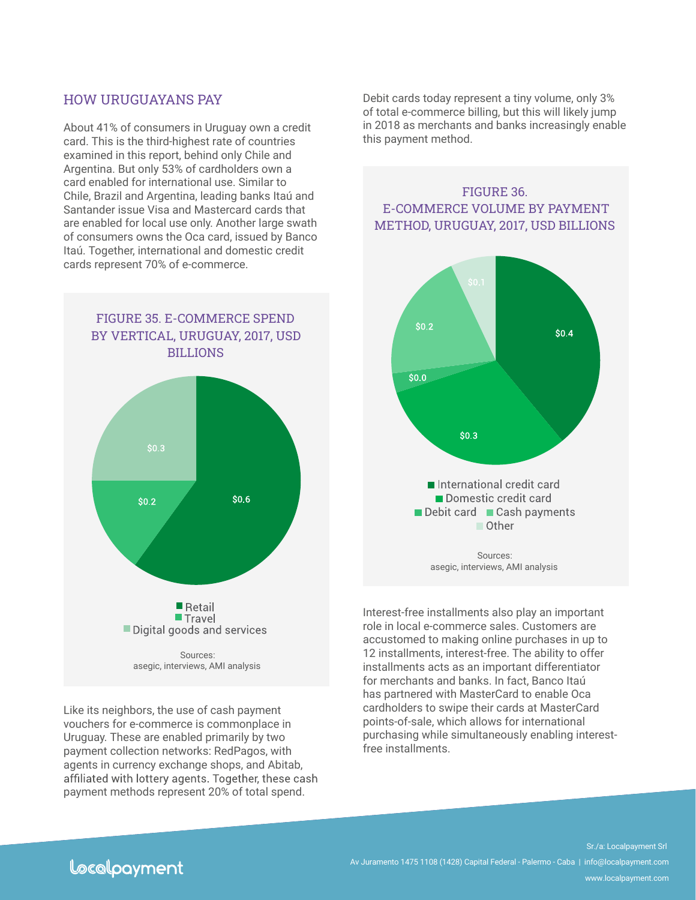#### HOW URUGUAYANS PAY

About 41% of consumers in Uruguay own a credit card. This is the third-highest rate of countries examined in this report, behind only Chile and Argentina. But only 53% of cardholders own a card enabled for international use. Similar to Chile, Brazil and Argentina, leading banks Itaú and Santander issue Visa and Mastercard cards that are enabled for local use only. Another large swath of consumers owns the Oca card, issued by Banco Itaú. Together, international and domestic credit cards represent 70% of e-commerce.



Like its neighbors, the use of cash payment vouchers for e-commerce is commonplace in Uruguay. These are enabled primarily by two payment collection networks: RedPagos, with agents in currency exchange shops, and Abitab, affiliated with lottery agents. Together, these cash payment methods represent 20% of total spend.

Debit cards today represent a tiny volume, only 3% of total e-commerce billing, but this will likely jump in 2018 as merchants and banks increasingly enable this payment method.





Interest-free installments also play an important role in local e-commerce sales. Customers are accustomed to making online purchases in up to 12 installments, interest-free. The ability to offer installments acts as an important differentiator for merchants and banks. In fact, Banco Itaú has partnered with MasterCard to enable Oca cardholders to swipe their cards at MasterCard points-of-sale, which allows for international purchasing while simultaneously enabling interestfree installments.

## Locolpayment